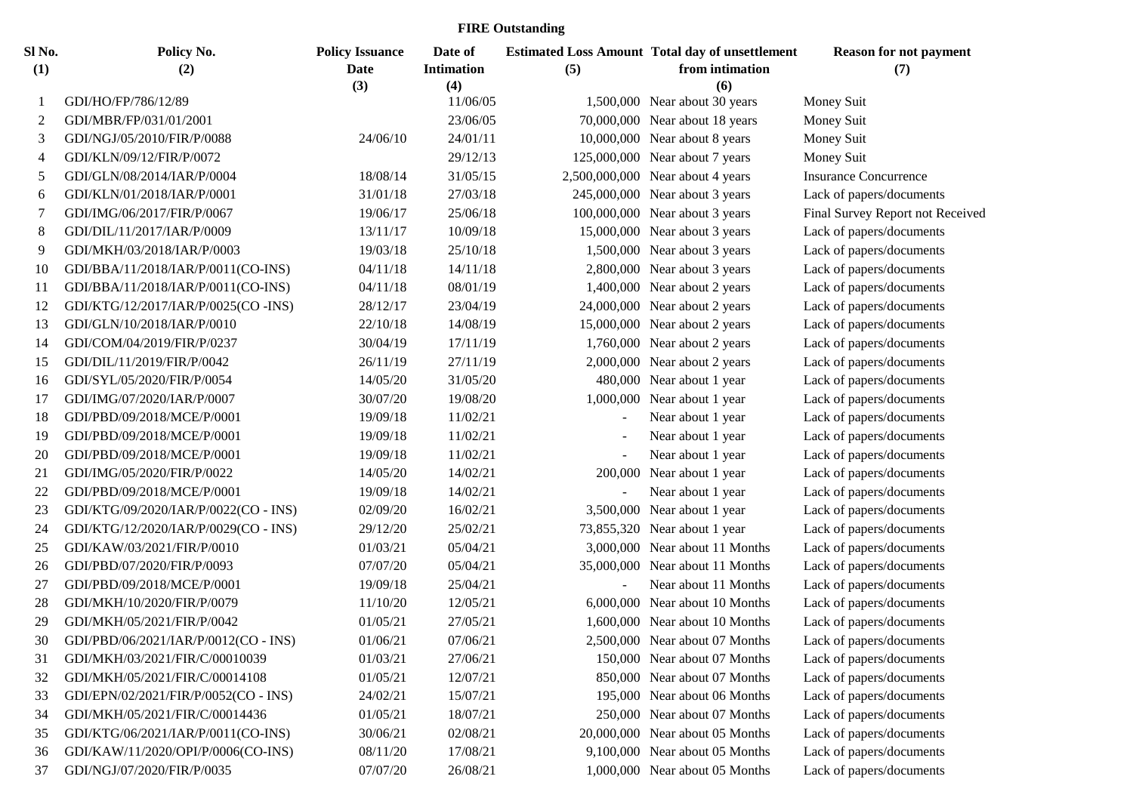## **FIRE Outstanding**

| Sl No.         | Policy No.                           | <b>Policy Issuance</b> | Date of           |           | <b>Estimated Loss Amount Total day of unsettlement</b> | <b>Reason for not payment</b>    |
|----------------|--------------------------------------|------------------------|-------------------|-----------|--------------------------------------------------------|----------------------------------|
| (1)            | (2)                                  | Date                   | <b>Intimation</b> | (5)       | from intimation                                        | (7)                              |
|                |                                      | (3)                    | (4)               |           | (6)                                                    |                                  |
| -1             | GDI/HO/FP/786/12/89                  |                        | 11/06/05          |           | 1,500,000 Near about 30 years                          | Money Suit                       |
| 2              | GDI/MBR/FP/031/01/2001               |                        | 23/06/05          |           | 70,000,000 Near about 18 years                         | Money Suit                       |
| 3              | GDI/NGJ/05/2010/FIR/P/0088           | 24/06/10               | 24/01/11          |           | 10,000,000 Near about 8 years                          | Money Suit                       |
| $\overline{4}$ | GDI/KLN/09/12/FIR/P/0072             |                        | 29/12/13          |           | 125,000,000 Near about 7 years                         | Money Suit                       |
| 5              | GDI/GLN/08/2014/IAR/P/0004           | 18/08/14               | 31/05/15          |           | 2,500,000,000 Near about 4 years                       | <b>Insurance Concurrence</b>     |
| 6              | GDI/KLN/01/2018/IAR/P/0001           | 31/01/18               | 27/03/18          |           | 245,000,000 Near about 3 years                         | Lack of papers/documents         |
| 7              | GDI/IMG/06/2017/FIR/P/0067           | 19/06/17               | 25/06/18          |           | 100,000,000 Near about 3 years                         | Final Survey Report not Received |
| 8              | GDI/DIL/11/2017/IAR/P/0009           | 13/11/17               | 10/09/18          |           | 15,000,000 Near about 3 years                          | Lack of papers/documents         |
| 9              | GDI/MKH/03/2018/IAR/P/0003           | 19/03/18               | 25/10/18          |           | 1,500,000 Near about 3 years                           | Lack of papers/documents         |
| 10             | GDI/BBA/11/2018/IAR/P/0011(CO-INS)   | 04/11/18               | 14/11/18          |           | 2,800,000 Near about 3 years                           | Lack of papers/documents         |
| 11             | GDI/BBA/11/2018/IAR/P/0011(CO-INS)   | 04/11/18               | 08/01/19          |           | 1,400,000 Near about 2 years                           | Lack of papers/documents         |
| 12             | GDI/KTG/12/2017/IAR/P/0025(CO-INS)   | 28/12/17               | 23/04/19          |           | 24,000,000 Near about 2 years                          | Lack of papers/documents         |
| 13             | GDI/GLN/10/2018/IAR/P/0010           | 22/10/18               | 14/08/19          |           | 15,000,000 Near about 2 years                          | Lack of papers/documents         |
| 14             | GDI/COM/04/2019/FIR/P/0237           | 30/04/19               | 17/11/19          |           | 1,760,000 Near about 2 years                           | Lack of papers/documents         |
| 15             | GDI/DIL/11/2019/FIR/P/0042           | 26/11/19               | 27/11/19          |           | 2,000,000 Near about 2 years                           | Lack of papers/documents         |
| 16             | GDI/SYL/05/2020/FIR/P/0054           | 14/05/20               | 31/05/20          |           | 480,000 Near about 1 year                              | Lack of papers/documents         |
| 17             | GDI/IMG/07/2020/IAR/P/0007           | 30/07/20               | 19/08/20          |           | 1,000,000 Near about 1 year                            | Lack of papers/documents         |
| 18             | GDI/PBD/09/2018/MCE/P/0001           | 19/09/18               | 11/02/21          |           | Near about 1 year                                      | Lack of papers/documents         |
| 19             | GDI/PBD/09/2018/MCE/P/0001           | 19/09/18               | 11/02/21          |           | Near about 1 year                                      | Lack of papers/documents         |
| 20             | GDI/PBD/09/2018/MCE/P/0001           | 19/09/18               | 11/02/21          |           | Near about 1 year                                      | Lack of papers/documents         |
| 21             | GDI/IMG/05/2020/FIR/P/0022           | 14/05/20               | 14/02/21          | 200,000   | Near about 1 year                                      | Lack of papers/documents         |
| 22             | GDI/PBD/09/2018/MCE/P/0001           | 19/09/18               | 14/02/21          |           | Near about 1 year                                      | Lack of papers/documents         |
| 23             | GDI/KTG/09/2020/IAR/P/0022(CO - INS) | 02/09/20               | 16/02/21          | 3,500,000 | Near about 1 year                                      | Lack of papers/documents         |
| 24             | GDI/KTG/12/2020/IAR/P/0029(CO - INS) | 29/12/20               | 25/02/21          |           | 73,855,320 Near about 1 year                           | Lack of papers/documents         |
| 25             | GDI/KAW/03/2021/FIR/P/0010           | 01/03/21               | 05/04/21          |           | 3,000,000 Near about 11 Months                         | Lack of papers/documents         |
| 26             | GDI/PBD/07/2020/FIR/P/0093           | 07/07/20               | 05/04/21          |           | 35,000,000 Near about 11 Months                        | Lack of papers/documents         |
| 27             | GDI/PBD/09/2018/MCE/P/0001           | 19/09/18               | 25/04/21          |           | Near about 11 Months                                   | Lack of papers/documents         |
| 28             | GDI/MKH/10/2020/FIR/P/0079           | 11/10/20               | 12/05/21          |           | 6,000,000 Near about 10 Months                         | Lack of papers/documents         |
| 29             | GDI/MKH/05/2021/FIR/P/0042           | 01/05/21               | 27/05/21          |           | 1,600,000 Near about 10 Months                         | Lack of papers/documents         |
| 30             | GDI/PBD/06/2021/IAR/P/0012(CO - INS) | 01/06/21               | 07/06/21          |           | 2,500,000 Near about 07 Months                         | Lack of papers/documents         |
| 31             | GDI/MKH/03/2021/FIR/C/00010039       | 01/03/21               | 27/06/21          |           | 150,000 Near about 07 Months                           | Lack of papers/documents         |
| 32             | GDI/MKH/05/2021/FIR/C/00014108       | 01/05/21               | 12/07/21          |           | 850,000 Near about 07 Months                           | Lack of papers/documents         |
| 33             | GDI/EPN/02/2021/FIR/P/0052(CO - INS) | 24/02/21               | 15/07/21          |           | 195,000 Near about 06 Months                           | Lack of papers/documents         |
| 34             | GDI/MKH/05/2021/FIR/C/00014436       | 01/05/21               | 18/07/21          |           | 250,000 Near about 07 Months                           | Lack of papers/documents         |
| 35             | GDI/KTG/06/2021/IAR/P/0011(CO-INS)   | 30/06/21               | 02/08/21          |           | 20,000,000 Near about 05 Months                        | Lack of papers/documents         |
| 36             | GDI/KAW/11/2020/OPI/P/0006(CO-INS)   | 08/11/20               | 17/08/21          |           | 9,100,000 Near about 05 Months                         | Lack of papers/documents         |
| 37             | GDI/NGJ/07/2020/FIR/P/0035           | 07/07/20               | 26/08/21          |           | 1,000,000 Near about 05 Months                         | Lack of papers/documents         |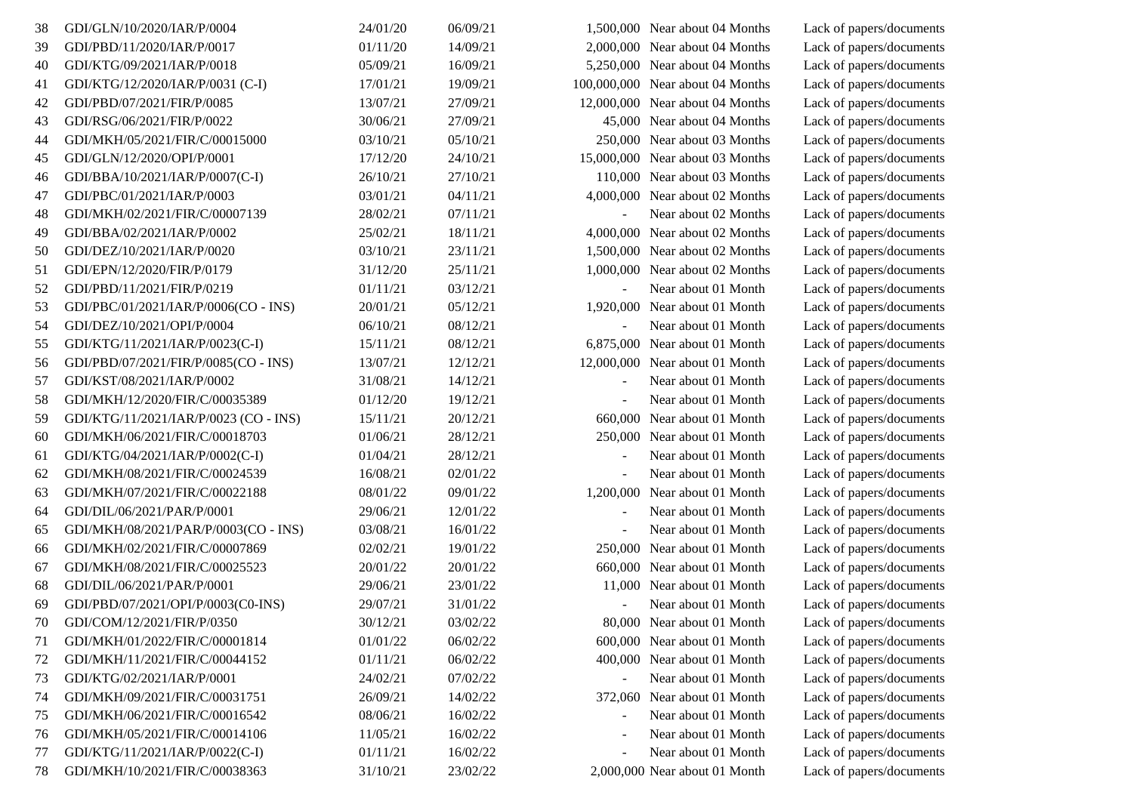| 38 | GDI/GLN/10/2020/IAR/P/0004            | 24/01/20 | 06/09/21 |           | 1,500,000 Near about 04 Months   | Lack of papers/documents |
|----|---------------------------------------|----------|----------|-----------|----------------------------------|--------------------------|
| 39 | GDI/PBD/11/2020/IAR/P/0017            | 01/11/20 | 14/09/21 |           | 2,000,000 Near about 04 Months   | Lack of papers/documents |
| 40 | GDI/KTG/09/2021/IAR/P/0018            | 05/09/21 | 16/09/21 |           | 5,250,000 Near about 04 Months   | Lack of papers/documents |
| 41 | GDI/KTG/12/2020/IAR/P/0031 (C-I)      | 17/01/21 | 19/09/21 |           | 100,000,000 Near about 04 Months | Lack of papers/documents |
| 42 | GDI/PBD/07/2021/FIR/P/0085            | 13/07/21 | 27/09/21 |           | 12,000,000 Near about 04 Months  | Lack of papers/documents |
| 43 | GDI/RSG/06/2021/FIR/P/0022            | 30/06/21 | 27/09/21 |           | 45,000 Near about 04 Months      | Lack of papers/documents |
| 44 | GDI/MKH/05/2021/FIR/C/00015000        | 03/10/21 | 05/10/21 |           | 250,000 Near about 03 Months     | Lack of papers/documents |
| 45 | GDI/GLN/12/2020/OPI/P/0001            | 17/12/20 | 24/10/21 |           | 15,000,000 Near about 03 Months  | Lack of papers/documents |
| 46 | GDI/BBA/10/2021/IAR/P/0007(C-I)       | 26/10/21 | 27/10/21 |           | 110,000 Near about 03 Months     | Lack of papers/documents |
| 47 | GDI/PBC/01/2021/IAR/P/0003            | 03/01/21 | 04/11/21 |           | 4,000,000 Near about 02 Months   | Lack of papers/documents |
| 48 | GDI/MKH/02/2021/FIR/C/00007139        | 28/02/21 | 07/11/21 |           | Near about 02 Months             | Lack of papers/documents |
| 49 | GDI/BBA/02/2021/IAR/P/0002            | 25/02/21 | 18/11/21 |           | 4,000,000 Near about 02 Months   | Lack of papers/documents |
| 50 | GDI/DEZ/10/2021/IAR/P/0020            | 03/10/21 | 23/11/21 |           | 1,500,000 Near about 02 Months   | Lack of papers/documents |
| 51 | GDI/EPN/12/2020/FIR/P/0179            | 31/12/20 | 25/11/21 |           | 1,000,000 Near about 02 Months   | Lack of papers/documents |
| 52 | GDI/PBD/11/2021/FIR/P/0219            | 01/11/21 | 03/12/21 |           | Near about 01 Month              | Lack of papers/documents |
| 53 | GDI/PBC/01/2021/IAR/P/0006(CO - INS)  | 20/01/21 | 05/12/21 |           | 1,920,000 Near about 01 Month    | Lack of papers/documents |
| 54 | GDI/DEZ/10/2021/OPI/P/0004            | 06/10/21 | 08/12/21 |           | Near about 01 Month              | Lack of papers/documents |
| 55 | GDI/KTG/11/2021/IAR/P/0023(C-I)       | 15/11/21 | 08/12/21 |           | 6,875,000 Near about 01 Month    | Lack of papers/documents |
| 56 | GDI/PBD/07/2021/FIR/P/0085(CO - INS)  | 13/07/21 | 12/12/21 |           | 12,000,000 Near about 01 Month   | Lack of papers/documents |
| 57 | GDI/KST/08/2021/IAR/P/0002            | 31/08/21 | 14/12/21 |           | Near about 01 Month              | Lack of papers/documents |
| 58 | GDI/MKH/12/2020/FIR/C/00035389        | 01/12/20 | 19/12/21 |           | Near about 01 Month              | Lack of papers/documents |
| 59 | GDI/KTG/11/2021/IAR/P/0023 (CO - INS) | 15/11/21 | 20/12/21 |           | 660,000 Near about 01 Month      | Lack of papers/documents |
| 60 | GDI/MKH/06/2021/FIR/C/00018703        | 01/06/21 | 28/12/21 |           | 250,000 Near about 01 Month      | Lack of papers/documents |
| 61 | GDI/KTG/04/2021/IAR/P/0002(C-I)       | 01/04/21 | 28/12/21 |           | Near about 01 Month              | Lack of papers/documents |
| 62 | GDI/MKH/08/2021/FIR/C/00024539        | 16/08/21 | 02/01/22 |           | Near about 01 Month              | Lack of papers/documents |
| 63 | GDI/MKH/07/2021/FIR/C/00022188        | 08/01/22 | 09/01/22 | 1,200,000 | Near about 01 Month              | Lack of papers/documents |
| 64 | GDI/DIL/06/2021/PAR/P/0001            | 29/06/21 | 12/01/22 |           | Near about 01 Month              | Lack of papers/documents |
| 65 | GDI/MKH/08/2021/PAR/P/0003(CO - INS)  | 03/08/21 | 16/01/22 |           | Near about 01 Month              | Lack of papers/documents |
| 66 | GDI/MKH/02/2021/FIR/C/00007869        | 02/02/21 | 19/01/22 |           | 250,000 Near about 01 Month      | Lack of papers/documents |
| 67 | GDI/MKH/08/2021/FIR/C/00025523        | 20/01/22 | 20/01/22 |           | 660,000 Near about 01 Month      | Lack of papers/documents |
| 68 | GDI/DIL/06/2021/PAR/P/0001            | 29/06/21 | 23/01/22 |           | 11,000 Near about 01 Month       | Lack of papers/documents |
| 69 | GDI/PBD/07/2021/OPI/P/0003(C0-INS)    | 29/07/21 | 31/01/22 |           | Near about 01 Month              | Lack of papers/documents |
| 70 | GDI/COM/12/2021/FIR/P/0350            | 30/12/21 | 03/02/22 |           | 80,000 Near about 01 Month       | Lack of papers/documents |
| 71 | GDI/MKH/01/2022/FIR/C/00001814        | 01/01/22 | 06/02/22 |           | 600,000 Near about 01 Month      | Lack of papers/documents |
| 72 | GDI/MKH/11/2021/FIR/C/00044152        | 01/11/21 | 06/02/22 |           | 400,000 Near about 01 Month      | Lack of papers/documents |
| 73 | GDI/KTG/02/2021/IAR/P/0001            | 24/02/21 | 07/02/22 |           | Near about 01 Month              | Lack of papers/documents |
| 74 | GDI/MKH/09/2021/FIR/C/00031751        | 26/09/21 | 14/02/22 | 372,060   | Near about 01 Month              | Lack of papers/documents |
| 75 | GDI/MKH/06/2021/FIR/C/00016542        | 08/06/21 | 16/02/22 |           | Near about 01 Month              | Lack of papers/documents |
| 76 | GDI/MKH/05/2021/FIR/C/00014106        | 11/05/21 | 16/02/22 |           | Near about 01 Month              | Lack of papers/documents |
| 77 | GDI/KTG/11/2021/IAR/P/0022(C-I)       | 01/11/21 | 16/02/22 |           | Near about 01 Month              | Lack of papers/documents |
| 78 | GDI/MKH/10/2021/FIR/C/00038363        | 31/10/21 | 23/02/22 |           | 2,000,000 Near about 01 Month    | Lack of papers/documents |
|    |                                       |          |          |           |                                  |                          |